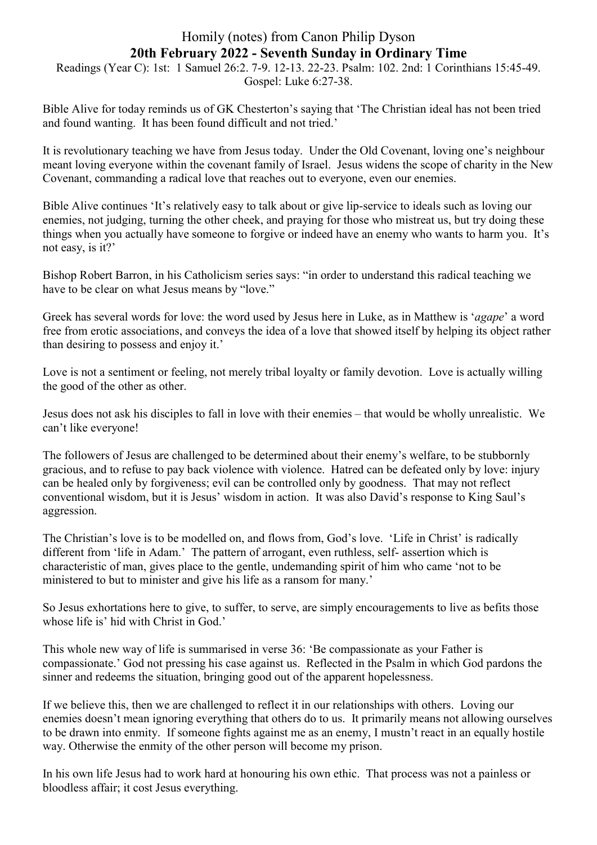## Homily (notes) from Canon Philip Dyson **20th February 2022 - Seventh Sunday in Ordinary Time**

Readings (Year C): 1st: 1 Samuel 26:2. 7-9. 12-13. 22-23. Psalm: 102. 2nd: 1 Corinthians 15:45-49. Gospel: Luke 6:27-38.

Bible Alive for today reminds us of GK Chesterton's saying that 'The Christian ideal has not been tried and found wanting. It has been found difficult and not tried.'

It is revolutionary teaching we have from Jesus today. Under the Old Covenant, loving one's neighbour meant loving everyone within the covenant family of Israel. Jesus widens the scope of charity in the New Covenant, commanding a radical love that reaches out to everyone, even our enemies.

Bible Alive continues 'It's relatively easy to talk about or give lip-service to ideals such as loving our enemies, not judging, turning the other cheek, and praying for those who mistreat us, but try doing these things when you actually have someone to forgive or indeed have an enemy who wants to harm you. It's not easy, is it?'

Bishop Robert Barron, in his Catholicism series says: "in order to understand this radical teaching we have to be clear on what Jesus means by "love."

Greek has several words for love: the word used by Jesus here in Luke, as in Matthew is '*agape*' a word free from erotic associations, and conveys the idea of a love that showed itself by helping its object rather than desiring to possess and enjoy it.'

Love is not a sentiment or feeling, not merely tribal loyalty or family devotion. Love is actually willing the good of the other as other.

Jesus does not ask his disciples to fall in love with their enemies – that would be wholly unrealistic. We can't like everyone!

The followers of Jesus are challenged to be determined about their enemy's welfare, to be stubbornly gracious, and to refuse to pay back violence with violence. Hatred can be defeated only by love: injury can be healed only by forgiveness; evil can be controlled only by goodness. That may not reflect conventional wisdom, but it is Jesus' wisdom in action. It was also David's response to King Saul's aggression.

The Christian's love is to be modelled on, and flows from, God's love. 'Life in Christ' is radically different from 'life in Adam.' The pattern of arrogant, even ruthless, self- assertion which is characteristic of man, gives place to the gentle, undemanding spirit of him who came 'not to be ministered to but to minister and give his life as a ransom for many.'

So Jesus exhortations here to give, to suffer, to serve, are simply encouragements to live as befits those whose life is' hid with Christ in God.'

This whole new way of life is summarised in verse 36: 'Be compassionate as your Father is compassionate.' God not pressing his case against us. Reflected in the Psalm in which God pardons the sinner and redeems the situation, bringing good out of the apparent hopelessness.

If we believe this, then we are challenged to reflect it in our relationships with others. Loving our enemies doesn't mean ignoring everything that others do to us. It primarily means not allowing ourselves to be drawn into enmity. If someone fights against me as an enemy, I mustn't react in an equally hostile way. Otherwise the enmity of the other person will become my prison.

In his own life Jesus had to work hard at honouring his own ethic. That process was not a painless or bloodless affair; it cost Jesus everything.